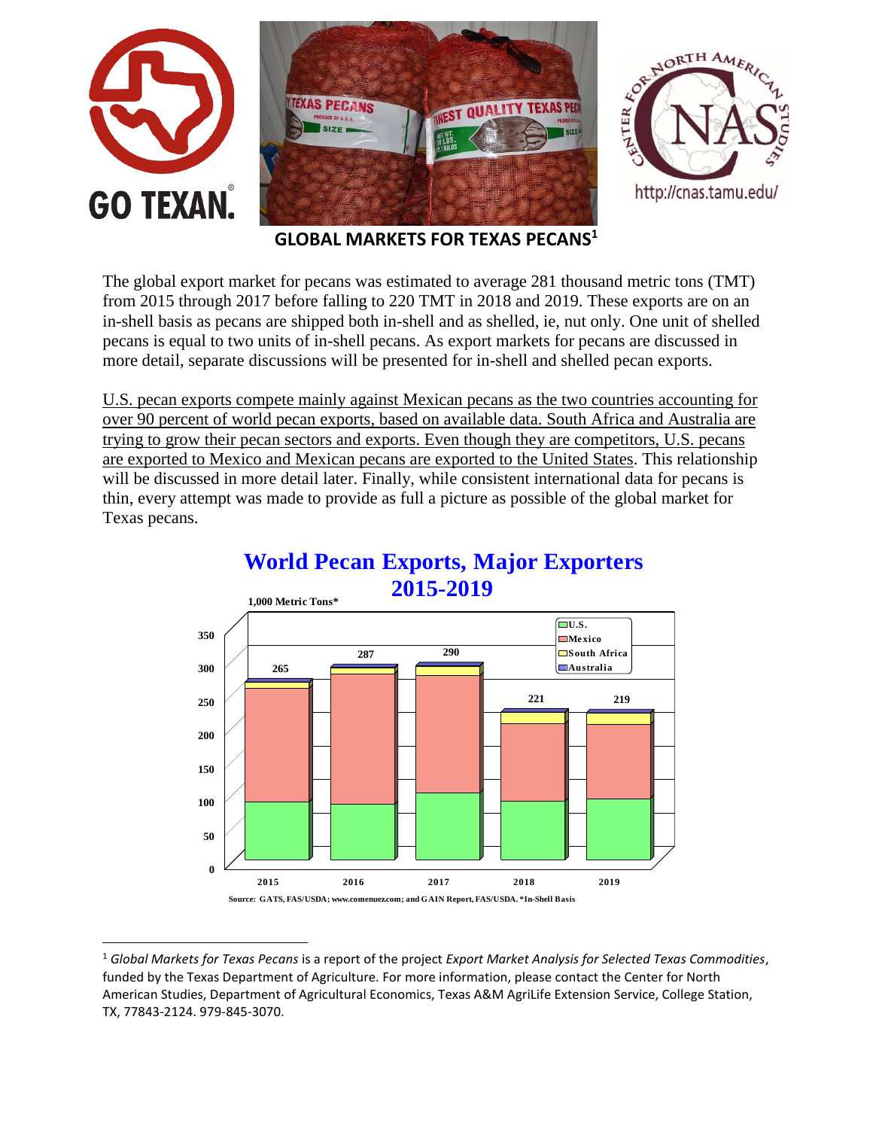

**GLOBAL MARKETS FOR TEXAS PECANS<sup>1</sup>**

The global export market for pecans was estimated to average 281 thousand metric tons (TMT) from 2015 through 2017 before falling to 220 TMT in 2018 and 2019. These exports are on an in-shell basis as pecans are shipped both in-shell and as shelled, ie, nut only. One unit of shelled pecans is equal to two units of in-shell pecans. As export markets for pecans are discussed in more detail, separate discussions will be presented for in-shell and shelled pecan exports.

U.S. pecan exports compete mainly against Mexican pecans as the two countries accounting for over 90 percent of world pecan exports, based on available data. South Africa and Australia are trying to grow their pecan sectors and exports. Even though they are competitors, U.S. pecans are exported to Mexico and Mexican pecans are exported to the United States. This relationship will be discussed in more detail later. Finally, while consistent international data for pecans is thin, every attempt was made to provide as full a picture as possible of the global market for Texas pecans.



### **World Pecan Exports, Major Exporters 2015-2019**

 $\overline{\phantom{a}}$ 

<sup>1</sup> *Global Markets for Texas Pecans* is a report of the project *Export Market Analysis for Selected Texas Commodities*, funded by the Texas Department of Agriculture. For more information, please contact the Center for North American Studies, Department of Agricultural Economics, Texas A&M AgriLife Extension Service, College Station, TX, 77843-2124. 979-845-3070.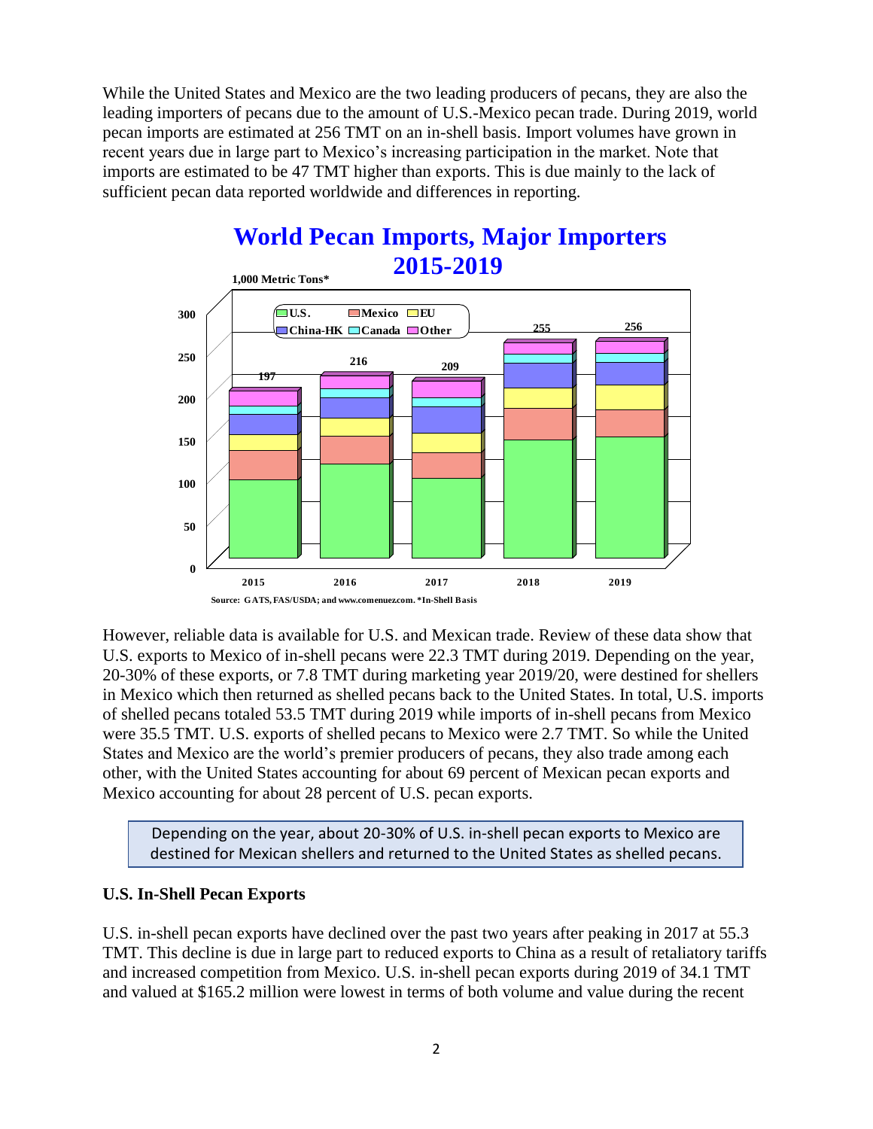While the United States and Mexico are the two leading producers of pecans, they are also the leading importers of pecans due to the amount of U.S.-Mexico pecan trade. During 2019, world pecan imports are estimated at 256 TMT on an in-shell basis. Import volumes have grown in recent years due in large part to Mexico's increasing participation in the market. Note that imports are estimated to be 47 TMT higher than exports. This is due mainly to the lack of sufficient pecan data reported worldwide and differences in reporting.



# **World Pecan Imports, Major Importers 2015-2019**

However, reliable data is available for U.S. and Mexican trade. Review of these data show that U.S. exports to Mexico of in-shell pecans were 22.3 TMT during 2019. Depending on the year, 20-30% of these exports, or 7.8 TMT during marketing year 2019/20, were destined for shellers in Mexico which then returned as shelled pecans back to the United States. In total, U.S. imports of shelled pecans totaled 53.5 TMT during 2019 while imports of in-shell pecans from Mexico were 35.5 TMT. U.S. exports of shelled pecans to Mexico were 2.7 TMT. So while the United States and Mexico are the world's premier producers of pecans, they also trade among each other, with the United States accounting for about 69 percent of Mexican pecan exports and Mexico accounting for about 28 percent of U.S. pecan exports.

Depending on the year, about 20-30% of U.S. in-shell pecan exports to Mexico are destined for Mexican shellers and returned to the United States as shelled pecans.

### **U.S. In-Shell Pecan Exports**

U.S. in-shell pecan exports have declined over the past two years after peaking in 2017 at 55.3 TMT. This decline is due in large part to reduced exports to China as a result of retaliatory tariffs and increased competition from Mexico. U.S. in-shell pecan exports during 2019 of 34.1 TMT and valued at \$165.2 million were lowest in terms of both volume and value during the recent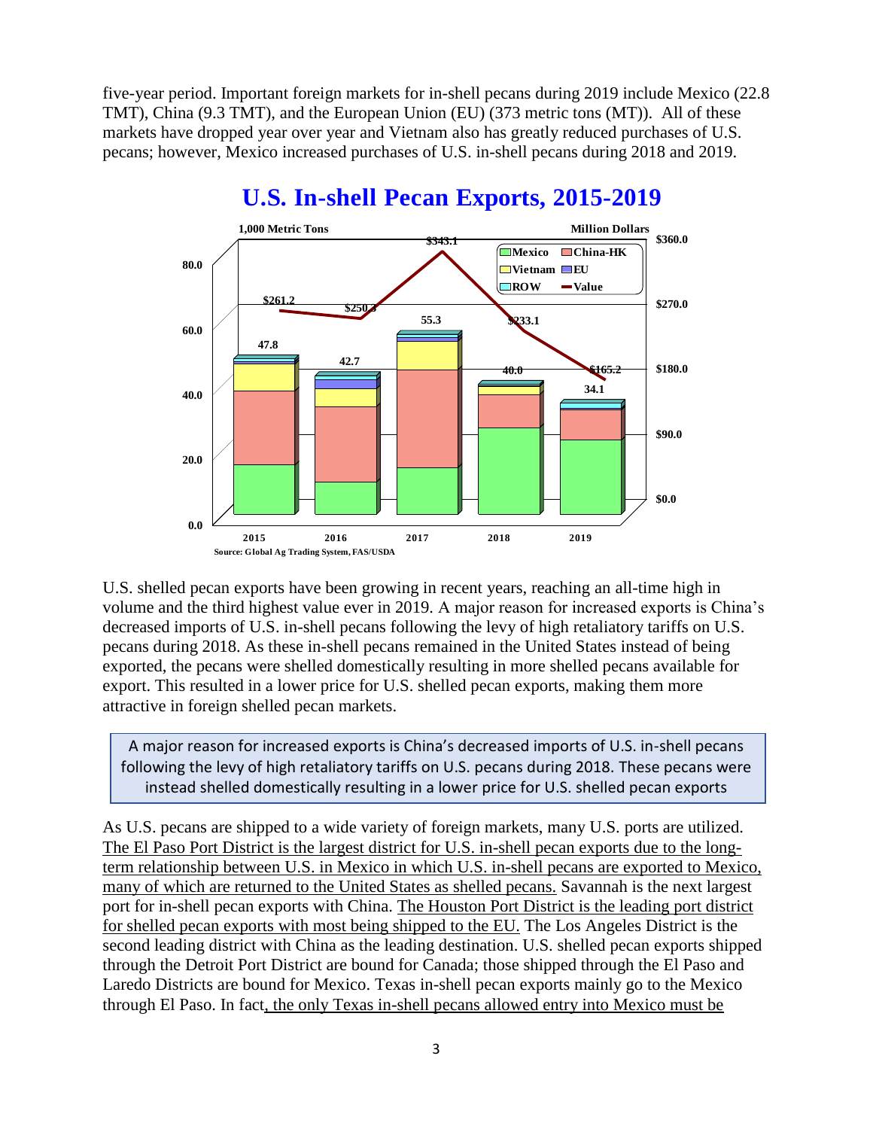five-year period. Important foreign markets for in-shell pecans during 2019 include Mexico (22.8 TMT), China (9.3 TMT), and the European Union (EU) (373 metric tons (MT)). All of these markets have dropped year over year and Vietnam also has greatly reduced purchases of U.S. pecans; however, Mexico increased purchases of U.S. in-shell pecans during 2018 and 2019.



## **U.S. In-shell Pecan Exports, 2015-2019**

U.S. shelled pecan exports have been growing in recent years, reaching an all-time high in volume and the third highest value ever in 2019. A major reason for increased exports is China's decreased imports of U.S. in-shell pecans following the levy of high retaliatory tariffs on U.S. pecans during 2018. As these in-shell pecans remained in the United States instead of being exported, the pecans were shelled domestically resulting in more shelled pecans available for export. This resulted in a lower price for U.S. shelled pecan exports, making them more attractive in foreign shelled pecan markets.

A major reason for increased exports is China's decreased imports of U.S. in-shell pecans following the levy of high retaliatory tariffs on U.S. pecans during 2018. These pecans were instead shelled domestically resulting in a lower price for U.S. shelled pecan exports

As U.S. pecans are shipped to a wide variety of foreign markets, many U.S. ports are utilized. The El Paso Port District is the largest district for U.S. in-shell pecan exports due to the longterm relationship between U.S. in Mexico in which U.S. in-shell pecans are exported to Mexico, many of which are returned to the United States as shelled pecans. Savannah is the next largest port for in-shell pecan exports with China. The Houston Port District is the leading port district for shelled pecan exports with most being shipped to the EU. The Los Angeles District is the second leading district with China as the leading destination. U.S. shelled pecan exports shipped through the Detroit Port District are bound for Canada; those shipped through the El Paso and Laredo Districts are bound for Mexico. Texas in-shell pecan exports mainly go to the Mexico through El Paso. In fact, the only Texas in-shell pecans allowed entry into Mexico must be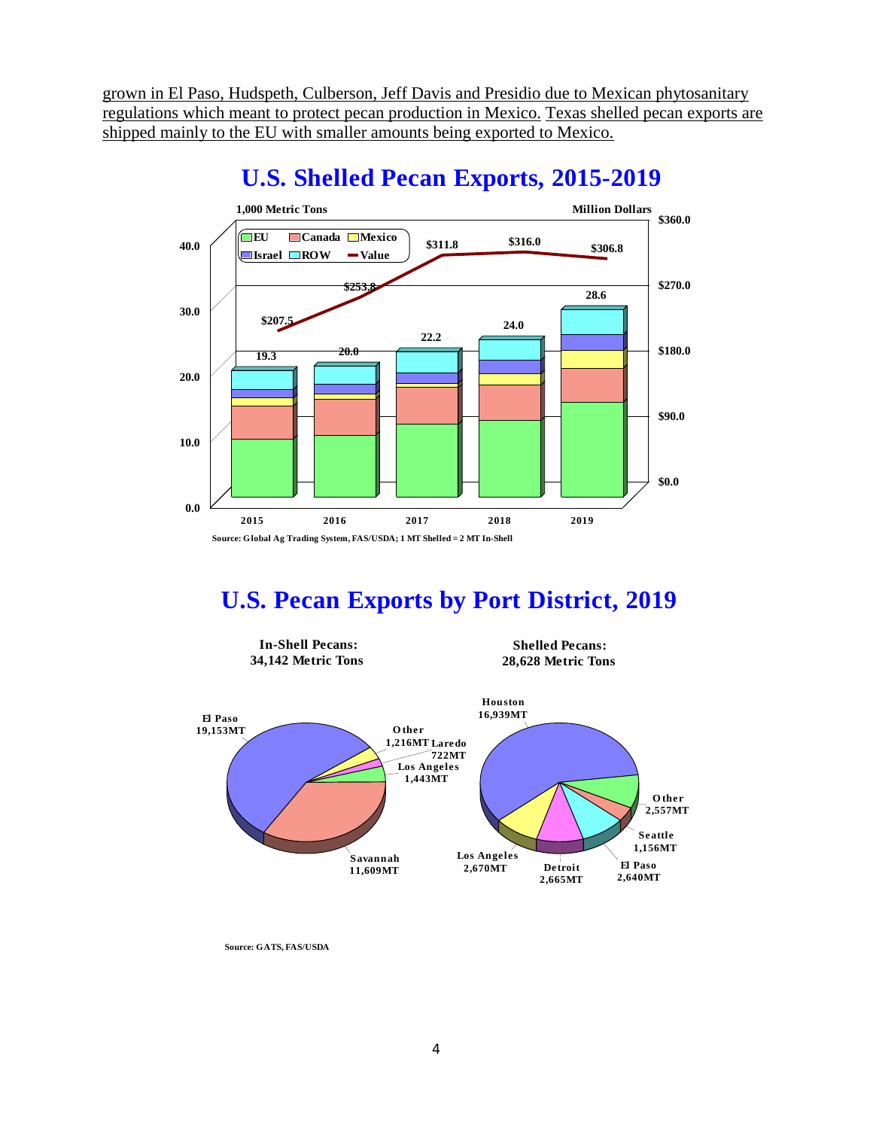grown in El Paso, Hudspeth, Culberson, Jeff Davis and Presidio due to Mexican phytosanitary regulations which meant to protect pecan production in Mexico. Texas shelled pecan exports are shipped mainly to the EU with smaller amounts being exported to Mexico.



# **U.S. Shelled Pecan Exports, 2015-2019**

# **U.S. Pecan Exports by Port District, 2019**



**Source: GATS, FAS/USDA**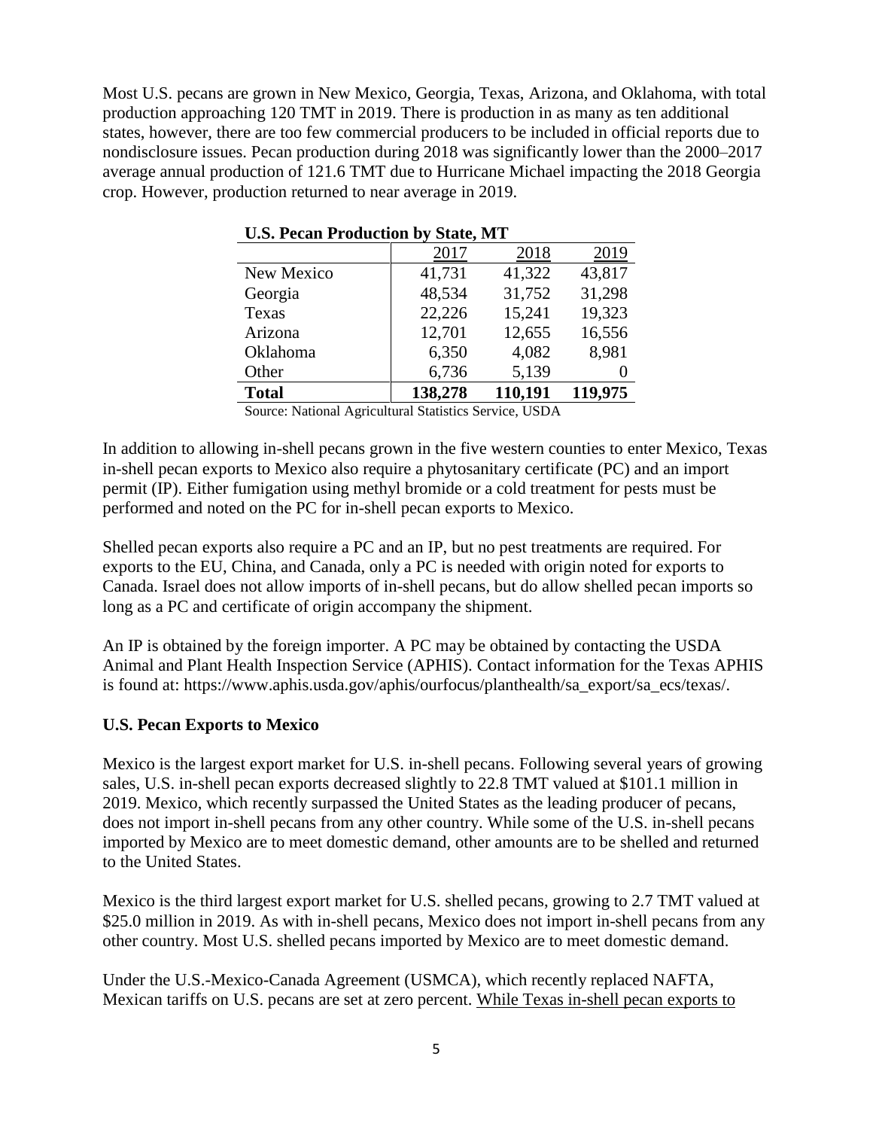Most U.S. pecans are grown in New Mexico, Georgia, Texas, Arizona, and Oklahoma, with total production approaching 120 TMT in 2019. There is production in as many as ten additional states, however, there are too few commercial producers to be included in official reports due to nondisclosure issues. Pecan production during 2018 was significantly lower than the 2000–2017 average annual production of 121.6 TMT due to Hurricane Michael impacting the 2018 Georgia crop. However, production returned to near average in 2019.

| Case I cean I rougenon by blanc, mrl |         |         |         |  |  |  |  |
|--------------------------------------|---------|---------|---------|--|--|--|--|
|                                      | 2017    | 2018    | 2019    |  |  |  |  |
| New Mexico                           | 41,731  | 41,322  | 43,817  |  |  |  |  |
| Georgia                              | 48,534  | 31,752  | 31,298  |  |  |  |  |
| Texas                                | 22,226  | 15,241  | 19,323  |  |  |  |  |
| Arizona                              | 12,701  | 12,655  | 16,556  |  |  |  |  |
| Oklahoma                             | 6,350   | 4,082   | 8,981   |  |  |  |  |
| Other                                | 6,736   | 5,139   |         |  |  |  |  |
| <b>Total</b>                         | 138,278 | 110,191 | 119,975 |  |  |  |  |

| <b>U.S. Pecan Production by State, MT</b> |  |  |
|-------------------------------------------|--|--|

Source: National Agricultural Statistics Service, USDA

In addition to allowing in-shell pecans grown in the five western counties to enter Mexico, Texas in-shell pecan exports to Mexico also require a phytosanitary certificate (PC) and an import permit (IP). Either fumigation using methyl bromide or a cold treatment for pests must be performed and noted on the PC for in-shell pecan exports to Mexico.

Shelled pecan exports also require a PC and an IP, but no pest treatments are required. For exports to the EU, China, and Canada, only a PC is needed with origin noted for exports to Canada. Israel does not allow imports of in-shell pecans, but do allow shelled pecan imports so long as a PC and certificate of origin accompany the shipment.

An IP is obtained by the foreign importer. A PC may be obtained by contacting the USDA Animal and Plant Health Inspection Service (APHIS). Contact information for the Texas APHIS is found at: https://www.aphis.usda.gov/aphis/ourfocus/planthealth/sa\_export/sa\_ecs/texas/.

#### **U.S. Pecan Exports to Mexico**

Mexico is the largest export market for U.S. in-shell pecans. Following several years of growing sales, U.S. in-shell pecan exports decreased slightly to 22.8 TMT valued at \$101.1 million in 2019. Mexico, which recently surpassed the United States as the leading producer of pecans, does not import in-shell pecans from any other country. While some of the U.S. in-shell pecans imported by Mexico are to meet domestic demand, other amounts are to be shelled and returned to the United States.

Mexico is the third largest export market for U.S. shelled pecans, growing to 2.7 TMT valued at \$25.0 million in 2019. As with in-shell pecans, Mexico does not import in-shell pecans from any other country. Most U.S. shelled pecans imported by Mexico are to meet domestic demand.

Under the U.S.-Mexico-Canada Agreement (USMCA), which recently replaced NAFTA, Mexican tariffs on U.S. pecans are set at zero percent. While Texas in-shell pecan exports to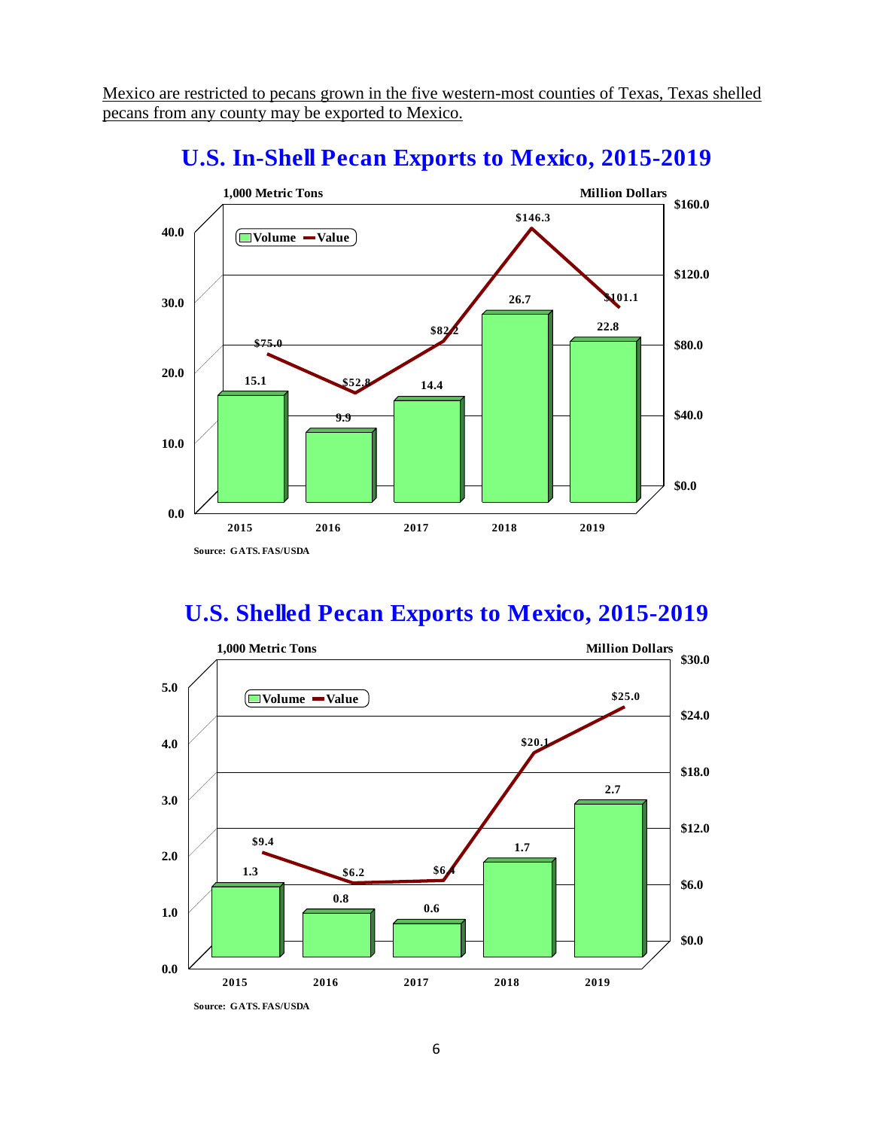Mexico are restricted to pecans grown in the five western-most counties of Texas, Texas shelled pecans from any county may be exported to Mexico.



## **U.S. In-Shell Pecan Exports to Mexico, 2015-2019**

## **U.S. Shelled Pecan Exports to Mexico, 2015-2019**

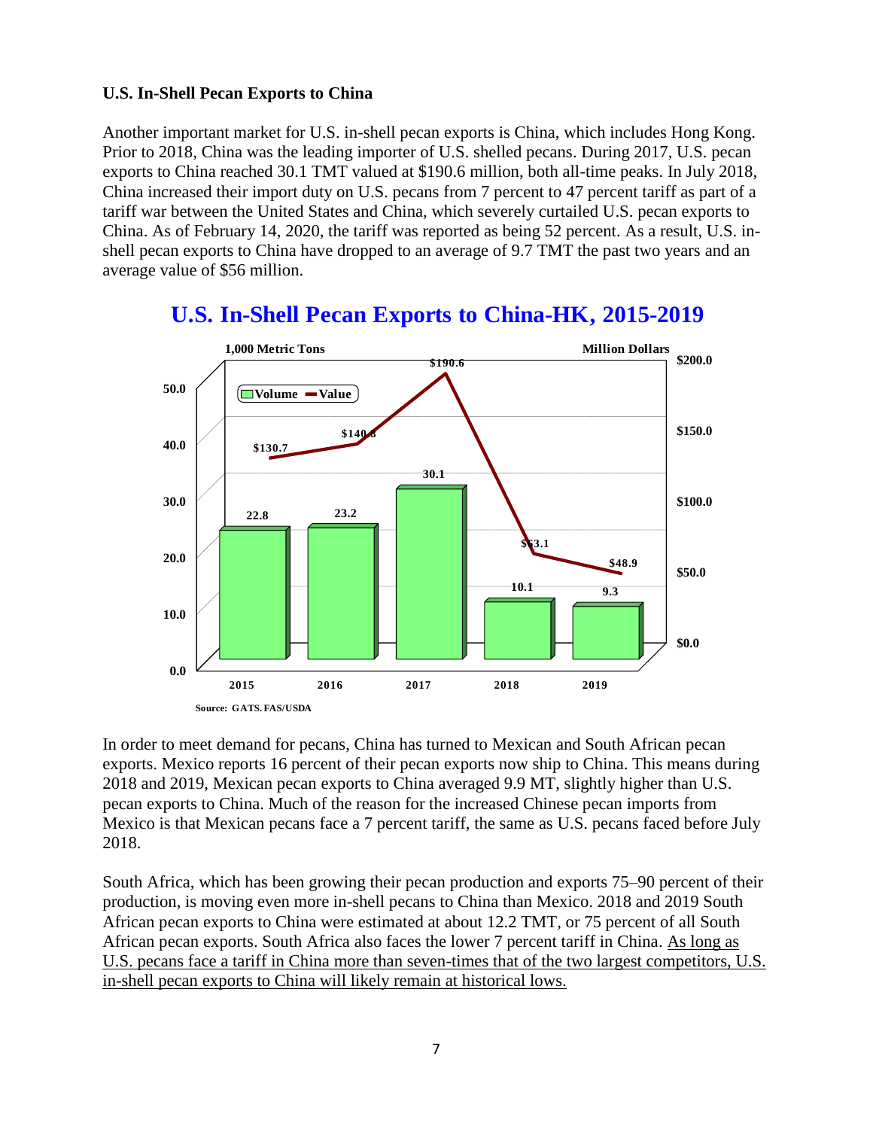### **U.S. In-Shell Pecan Exports to China**

Another important market for U.S. in-shell pecan exports is China, which includes Hong Kong. Prior to 2018, China was the leading importer of U.S. shelled pecans. During 2017, U.S. pecan exports to China reached 30.1 TMT valued at \$190.6 million, both all-time peaks. In July 2018, China increased their import duty on U.S. pecans from 7 percent to 47 percent tariff as part of a tariff war between the United States and China, which severely curtailed U.S. pecan exports to China. As of February 14, 2020, the tariff was reported as being 52 percent. As a result, U.S. inshell pecan exports to China have dropped to an average of 9.7 TMT the past two years and an average value of \$56 million.



# **U.S. In-Shell Pecan Exports to China-HK, 2015-2019**

In order to meet demand for pecans, China has turned to Mexican and South African pecan exports. Mexico reports 16 percent of their pecan exports now ship to China. This means during 2018 and 2019, Mexican pecan exports to China averaged 9.9 MT, slightly higher than U.S. pecan exports to China. Much of the reason for the increased Chinese pecan imports from Mexico is that Mexican pecans face a 7 percent tariff, the same as U.S. pecans faced before July 2018.

South Africa, which has been growing their pecan production and exports 75–90 percent of their production, is moving even more in-shell pecans to China than Mexico. 2018 and 2019 South African pecan exports to China were estimated at about 12.2 TMT, or 75 percent of all South African pecan exports. South Africa also faces the lower 7 percent tariff in China. As long as U.S. pecans face a tariff in China more than seven-times that of the two largest competitors, U.S. in-shell pecan exports to China will likely remain at historical lows.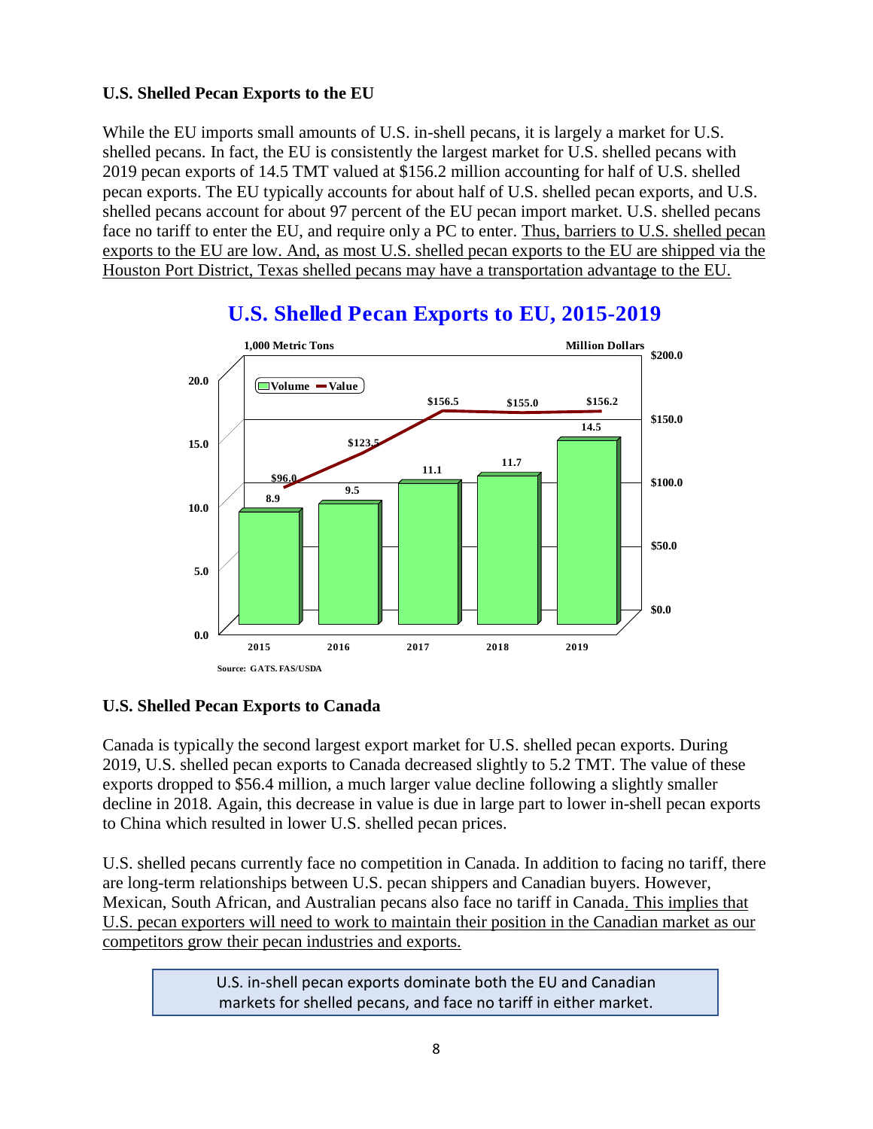### **U.S. Shelled Pecan Exports to the EU**

While the EU imports small amounts of U.S. in-shell pecans, it is largely a market for U.S. shelled pecans. In fact, the EU is consistently the largest market for U.S. shelled pecans with 2019 pecan exports of 14.5 TMT valued at \$156.2 million accounting for half of U.S. shelled pecan exports. The EU typically accounts for about half of U.S. shelled pecan exports, and U.S. shelled pecans account for about 97 percent of the EU pecan import market. U.S. shelled pecans face no tariff to enter the EU, and require only a PC to enter. Thus, barriers to U.S. shelled pecan exports to the EU are low. And, as most U.S. shelled pecan exports to the EU are shipped via the Houston Port District, Texas shelled pecans may have a transportation advantage to the EU.



# **U.S. Shelled Pecan Exports to EU, 2015-2019**

### **U.S. Shelled Pecan Exports to Canada**

Canada is typically the second largest export market for U.S. shelled pecan exports. During 2019, U.S. shelled pecan exports to Canada decreased slightly to 5.2 TMT. The value of these exports dropped to \$56.4 million, a much larger value decline following a slightly smaller decline in 2018. Again, this decrease in value is due in large part to lower in-shell pecan exports to China which resulted in lower U.S. shelled pecan prices.

U.S. shelled pecans currently face no competition in Canada. In addition to facing no tariff, there are long-term relationships between U.S. pecan shippers and Canadian buyers. However, Mexican, South African, and Australian pecans also face no tariff in Canada. This implies that U.S. pecan exporters will need to work to maintain their position in the Canadian market as our competitors grow their pecan industries and exports.

> U.S. in-shell pecan exports dominate both the EU and Canadian markets for shelled pecans, and face no tariff in either market.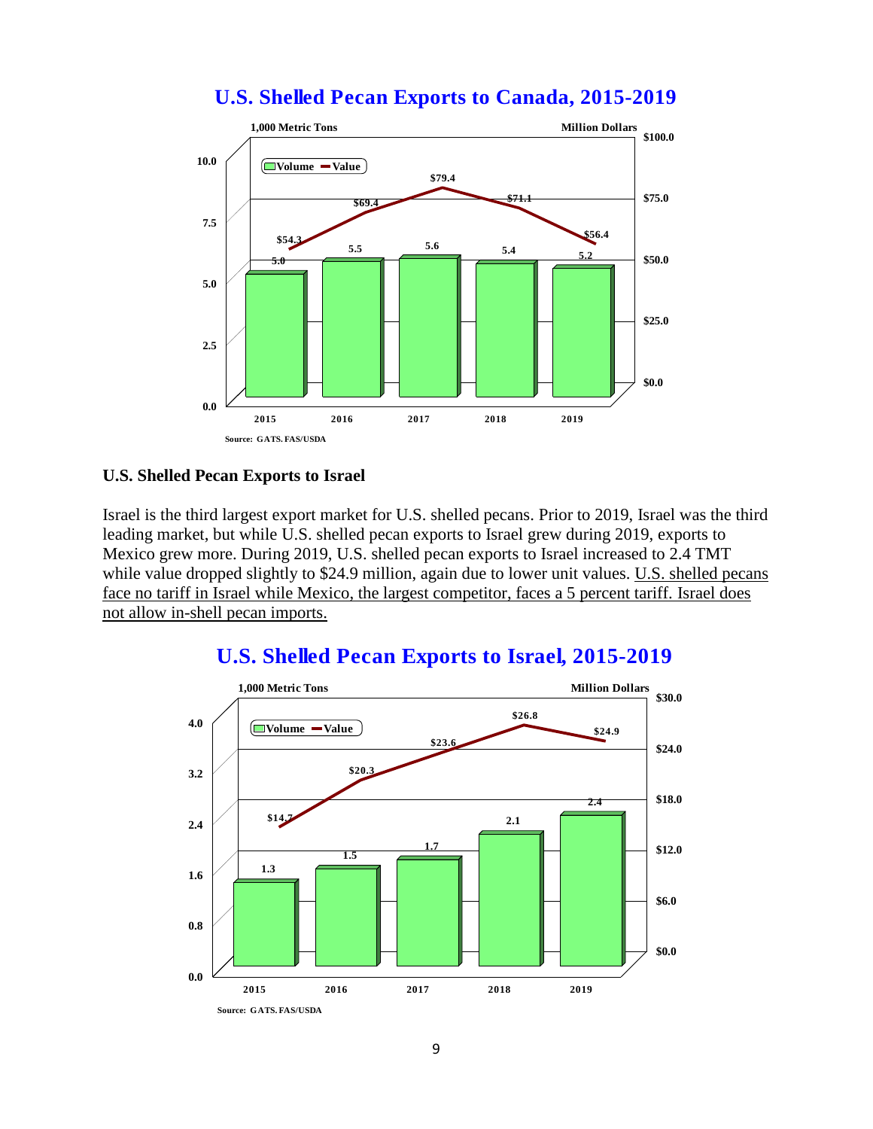### **U.S. Shelled Pecan Exports to Canada, 2015-2019**



#### **U.S. Shelled Pecan Exports to Israel**

Israel is the third largest export market for U.S. shelled pecans. Prior to 2019, Israel was the third leading market, but while U.S. shelled pecan exports to Israel grew during 2019, exports to Mexico grew more. During 2019, U.S. shelled pecan exports to Israel increased to 2.4 TMT while value dropped slightly to \$24.9 million, again due to lower unit values. U.S. shelled pecans face no tariff in Israel while Mexico, the largest competitor, faces a 5 percent tariff. Israel does not allow in-shell pecan imports.



### **U.S. Shelled Pecan Exports to Israel, 2015-2019**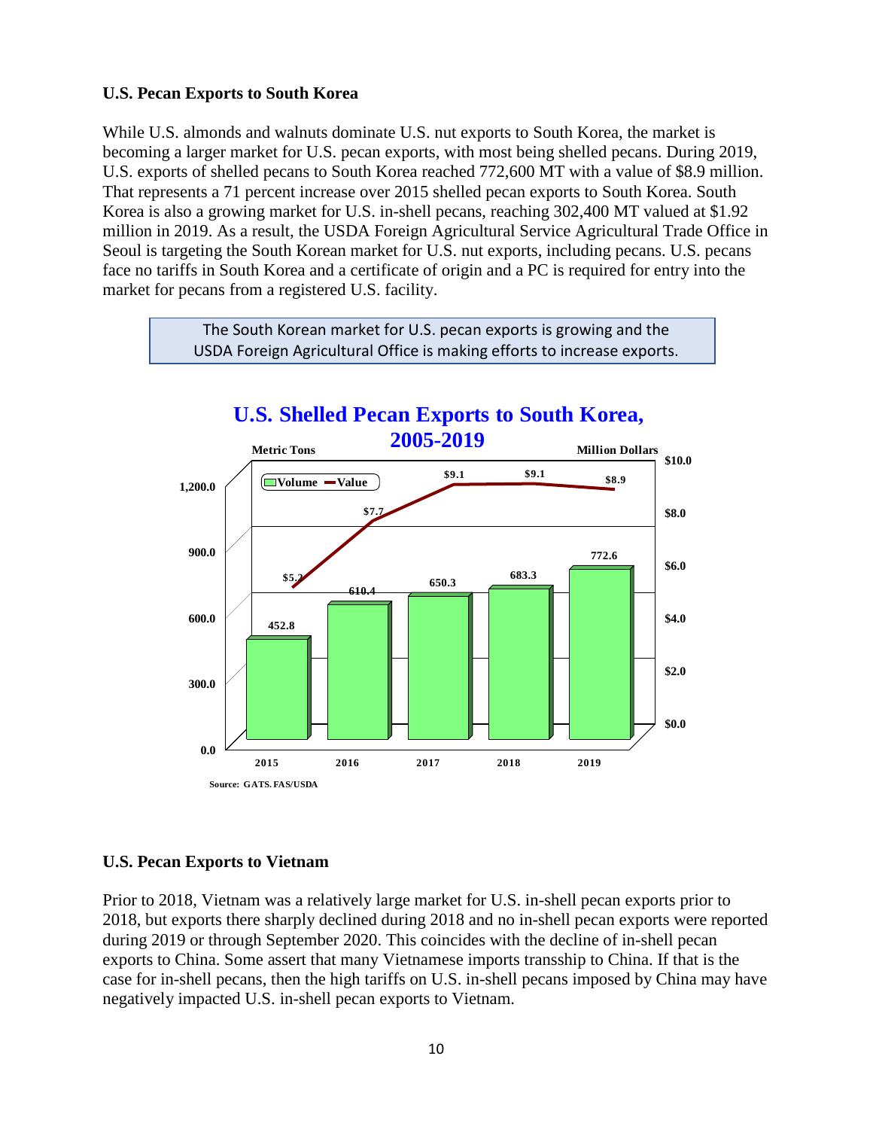#### **U.S. Pecan Exports to South Korea**

While U.S. almonds and walnuts dominate U.S. nut exports to South Korea, the market is becoming a larger market for U.S. pecan exports, with most being shelled pecans. During 2019, U.S. exports of shelled pecans to South Korea reached 772,600 MT with a value of \$8.9 million. That represents a 71 percent increase over 2015 shelled pecan exports to South Korea. South Korea is also a growing market for U.S. in-shell pecans, reaching 302,400 MT valued at \$1.92 million in 2019. As a result, the USDA Foreign Agricultural Service Agricultural Trade Office in Seoul is targeting the South Korean market for U.S. nut exports, including pecans. U.S. pecans face no tariffs in South Korea and a certificate of origin and a PC is required for entry into the market for pecans from a registered U.S. facility.



The South Korean market for U.S. pecan exports is growing and the

### **U.S. Pecan Exports to Vietnam**

Prior to 2018, Vietnam was a relatively large market for U.S. in-shell pecan exports prior to 2018, but exports there sharply declined during 2018 and no in-shell pecan exports were reported during 2019 or through September 2020. This coincides with the decline of in-shell pecan exports to China. Some assert that many Vietnamese imports transship to China. If that is the case for in-shell pecans, then the high tariffs on U.S. in-shell pecans imposed by China may have negatively impacted U.S. in-shell pecan exports to Vietnam.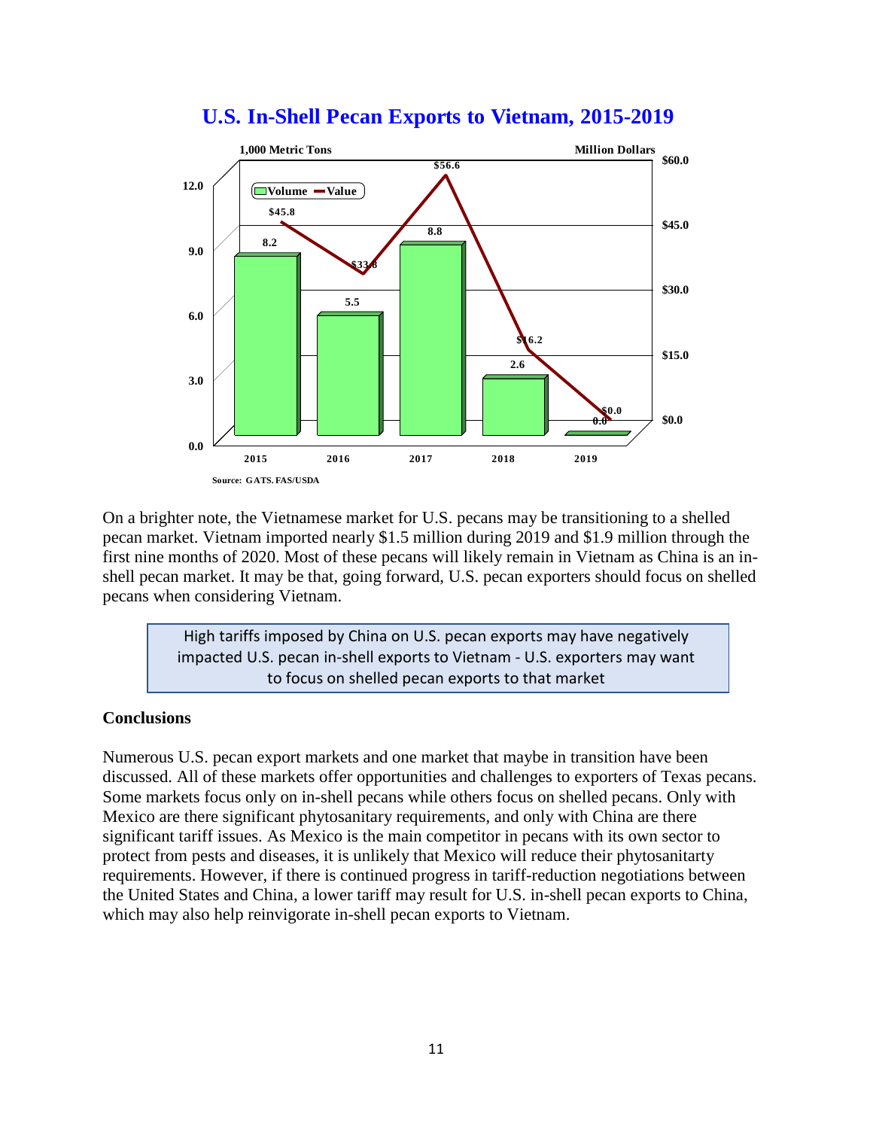

### **U.S. In-Shell Pecan Exports to Vietnam, 2015-2019**

On a brighter note, the Vietnamese market for U.S. pecans may be transitioning to a shelled pecan market. Vietnam imported nearly \$1.5 million during 2019 and \$1.9 million through the first nine months of 2020. Most of these pecans will likely remain in Vietnam as China is an inshell pecan market. It may be that, going forward, U.S. pecan exporters should focus on shelled pecans when considering Vietnam.

> High tariffs imposed by China on U.S. pecan exports may have negatively impacted U.S. pecan in-shell exports to Vietnam - U.S. exporters may want to focus on shelled pecan exports to that market

#### **Conclusions**

Numerous U.S. pecan export markets and one market that maybe in transition have been discussed. All of these markets offer opportunities and challenges to exporters of Texas pecans. Some markets focus only on in-shell pecans while others focus on shelled pecans. Only with Mexico are there significant phytosanitary requirements, and only with China are there significant tariff issues. As Mexico is the main competitor in pecans with its own sector to protect from pests and diseases, it is unlikely that Mexico will reduce their phytosanitarty requirements. However, if there is continued progress in tariff-reduction negotiations between the United States and China, a lower tariff may result for U.S. in-shell pecan exports to China, which may also help reinvigorate in-shell pecan exports to Vietnam.